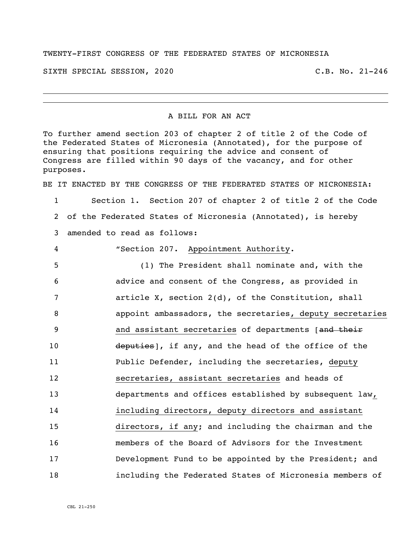## TWENTY-FIRST CONGRESS OF THE FEDERATED STATES OF MICRONESIA

SIXTH SPECIAL SESSION, 2020 C.B. No. 21-246

## A BILL FOR AN ACT

To further amend section 203 of chapter 2 of title 2 of the Code of the Federated States of Micronesia (Annotated), for the purpose of ensuring that positions requiring the advice and consent of Congress are filled within 90 days of the vacancy, and for other purposes.

BE IT ENACTED BY THE CONGRESS OF THE FEDERATED STATES OF MICRONESIA:

1 Section 1. Section 207 of chapter 2 of title 2 of the Code 2 of the Federated States of Micronesia (Annotated), is hereby 3 amended to read as follows:

 "Section 207. Appointment Authority. (1) The President shall nominate and, with the advice and consent of the Congress, as provided in article X, section 2(d), of the Constitution, shall appoint ambassadors, the secretaries, deputy secretaries 9 3 3 and assistant secretaries of departments [and their 10 deputies], if any, and the head of the office of the Public Defender, including the secretaries, deputy secretaries, assistant secretaries and heads of departments and offices established by subsequent law, including directors, deputy directors and assistant directors, if any; and including the chairman and the members of the Board of Advisors for the Investment Development Fund to be appointed by the President; and including the Federated States of Micronesia members of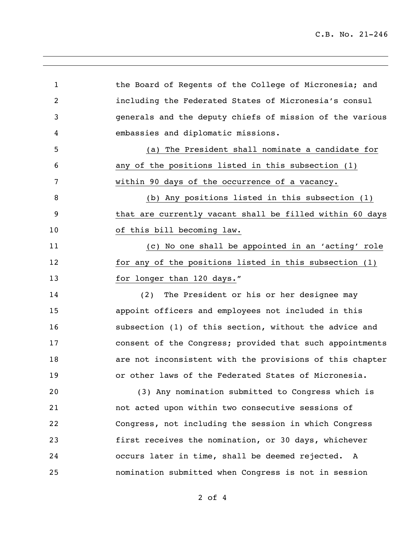C.B. No. 21-246

1 the Board of Regents of the College of Micronesia; and including the Federated States of Micronesia's consul generals and the deputy chiefs of mission of the various embassies and diplomatic missions. (a) The President shall nominate a candidate for any of the positions listed in this subsection (1) within 90 days of the occurrence of a vacancy. (b) Any positions listed in this subsection (1) that are currently vacant shall be filled within 60 days 10 of this bill becoming law. (c) No one shall be appointed in an 'acting' role for any of the positions listed in this subsection (1) 13 for longer than 120 days." (2) The President or his or her designee may appoint officers and employees not included in this subsection (1) of this section, without the advice and consent of the Congress; provided that such appointments are not inconsistent with the provisions of this chapter or other laws of the Federated States of Micronesia. (3) Any nomination submitted to Congress which is not acted upon within two consecutive sessions of Congress, not including the session in which Congress first receives the nomination, or 30 days, whichever occurs later in time, shall be deemed rejected. A nomination submitted when Congress is not in session

of 4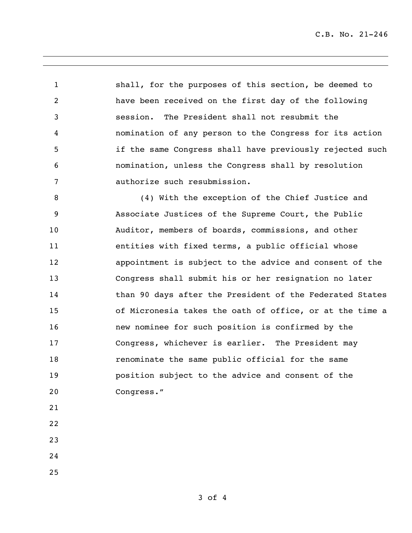C.B. No. 21-246

 shall, for the purposes of this section, be deemed to have been received on the first day of the following session. The President shall not resubmit the nomination of any person to the Congress for its action if the same Congress shall have previously rejected such nomination, unless the Congress shall by resolution authorize such resubmission.

 (4) With the exception of the Chief Justice and Associate Justices of the Supreme Court, the Public Auditor, members of boards, commissions, and other entities with fixed terms, a public official whose appointment is subject to the advice and consent of the Congress shall submit his or her resignation no later 14 than 90 days after the President of the Federated States of Micronesia takes the oath of office, or at the time a new nominee for such position is confirmed by the Congress, whichever is earlier. The President may renominate the same public official for the same position subject to the advice and consent of the Congress."

- 
- 
- 
- 
-